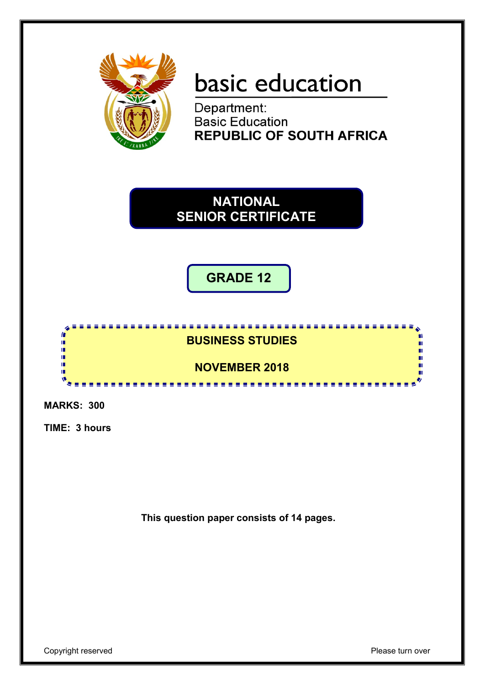

# basic education

Department: **Basic Education REPUBLIC OF SOUTH AFRICA** 

**NATIONAL SENIOR CERTIFICATE**

**GRADE 12**



**MARKS: 300**

**TIME: 3 hours**

**This question paper consists of 14 pages.**

Copyright reserved **Please** turn over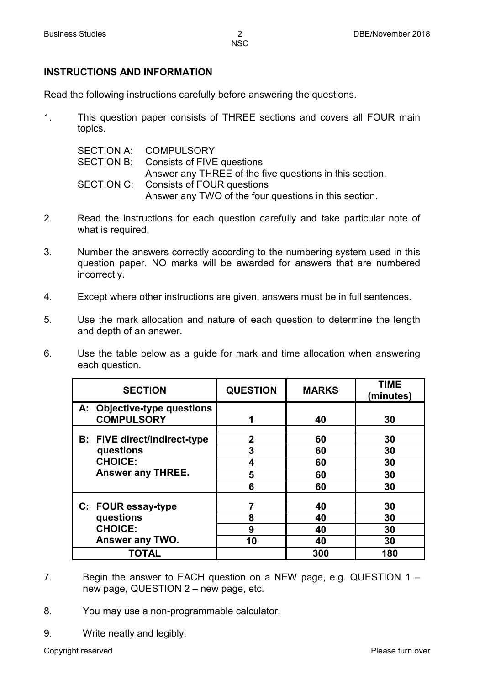# **INSTRUCTIONS AND INFORMATION**

Read the following instructions carefully before answering the questions.

1. This question paper consists of THREE sections and covers all FOUR main topics.

| SECTION A: COMPULSORY                                   |
|---------------------------------------------------------|
| SECTION B: Consists of FIVE questions                   |
| Answer any THREE of the five questions in this section. |
| SECTION C: Consists of FOUR questions                   |
| Answer any TWO of the four questions in this section.   |

- 2. Read the instructions for each question carefully and take particular note of what is required.
- 3. Number the answers correctly according to the numbering system used in this question paper. NO marks will be awarded for answers that are numbered incorrectly.
- 4. Except where other instructions are given, answers must be in full sentences.
- 5. Use the mark allocation and nature of each question to determine the length and depth of an answer.
- 6. Use the table below as a guide for mark and time allocation when answering each question.

| <b>SECTION</b>                                   | <b>QUESTION</b> | <b>MARKS</b> | <b>TIME</b><br>(minutes) |
|--------------------------------------------------|-----------------|--------------|--------------------------|
| A: Objective-type questions<br><b>COMPULSORY</b> | 1               | 40           | 30                       |
| <b>B:</b> FIVE direct/indirect-type              | $\mathbf 2$     | 60           | 30                       |
| questions                                        | 3               | 60           | 30                       |
| <b>CHOICE:</b>                                   | 4               | 60           | 30                       |
| <b>Answer any THREE.</b>                         | 5               | 60           | 30                       |
|                                                  | 6               | 60           | 30                       |
|                                                  |                 |              |                          |
| C: FOUR essay-type                               | 7               | 40           | 30                       |
| questions                                        | 8               | 40           | 30                       |
| <b>CHOICE:</b>                                   | 9               | 40           | 30                       |
| Answer any TWO.                                  | 10              | 40           | 30                       |
| TOTAL                                            |                 | 300          | 180                      |

- 7. Begin the answer to EACH question on a NEW page, e.g. QUESTION 1 new page, QUESTION 2 – new page, etc.
- 8. You may use a non-programmable calculator.
- 9. Write neatly and legibly.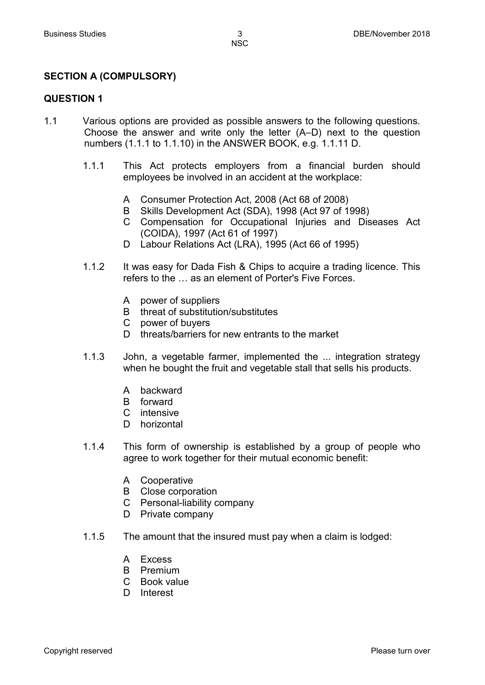# **SECTION A (COMPULSORY)**

# **QUESTION 1**

- 1.1 Various options are provided as possible answers to the following questions. Choose the answer and write only the letter (A–D) next to the question numbers (1.1.1 to 1.1.10) in the ANSWER BOOK, e.g. 1.1.11 D.
	- 1.1.1 This Act protects employers from a financial burden should employees be involved in an accident at the workplace:
		- A Consumer Protection Act, 2008 (Act 68 of 2008)
		- B Skills Development Act (SDA), 1998 (Act 97 of 1998)
		- C Compensation for Occupational Injuries and Diseases Act (COIDA), 1997 (Act 61 of 1997)
		- D Labour Relations Act (LRA), 1995 (Act 66 of 1995)
	- 1.1.2 It was easy for Dada Fish & Chips to acquire a trading licence. This refers to the … as an element of Porter's Five Forces.
		- A power of suppliers
		- B threat of substitution/substitutes
		- C power of buyers
		- D threats/barriers for new entrants to the market
	- 1.1.3 John, a vegetable farmer, implemented the ... integration strategy when he bought the fruit and vegetable stall that sells his products.
		- A backward
		- B forward
		- C intensive
		- D horizontal
	- 1.1.4 This form of ownership is established by a group of people who agree to work together for their mutual economic benefit:
		- A Cooperative
		- B Close corporation
		- C Personal-liability company
		- D Private company
	- 1.1.5 The amount that the insured must pay when a claim is lodged:
		- A Excess
		- B Premium
		- C Book value
		- D Interest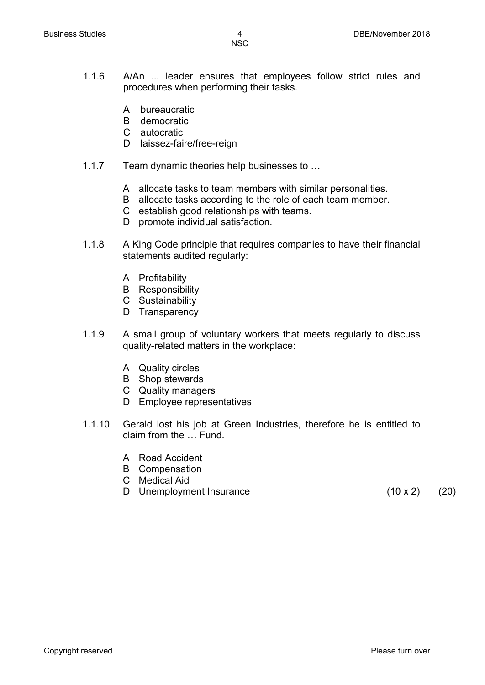- 1.1.6 A/An ... leader ensures that employees follow strict rules and procedures when performing their tasks.
	- A bureaucratic
	- B democratic
	- C autocratic
	- D laissez-faire/free-reign
- 1.1.7 Team dynamic theories help businesses to …
	- A allocate tasks to team members with similar personalities.
	- B allocate tasks according to the role of each team member.
	- C establish good relationships with teams.
	- D promote individual satisfaction.
- 1.1.8 A King Code principle that requires companies to have their financial statements audited regularly:
	- A Profitability
	- B Responsibility
	- C Sustainability
	- D Transparency
- 1.1.9 A small group of voluntary workers that meets regularly to discuss quality-related matters in the workplace:
	- A Quality circles
	- B Shop stewards
	- C Quality managers
	- D Employee representatives
- 1.1.10 Gerald lost his job at Green Industries, therefore he is entitled to claim from the … Fund.
	- A Road Accident
	- B Compensation
	- C Medical Aid
	- D Unemployment Insurance (10 x 2) (20)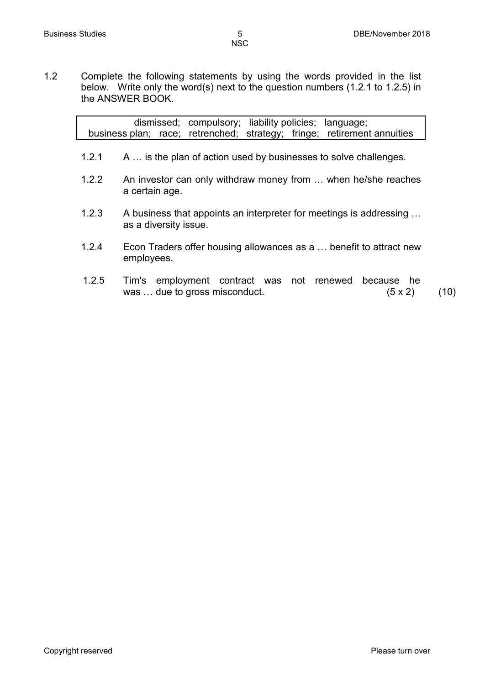1.2 Complete the following statements by using the words provided in the list below. Write only the word(s) next to the question numbers (1.2.1 to 1.2.5) in the ANSWER BOOK.

|       | dismissed; compulsory; liability policies; language;<br>business plan; race; retrenched; strategy; fringe; retirement annuities |      |
|-------|---------------------------------------------------------------------------------------------------------------------------------|------|
| 1.2.1 | A  is the plan of action used by businesses to solve challenges.                                                                |      |
| 1.2.2 | An investor can only withdraw money from  when he/she reaches<br>a certain age.                                                 |      |
| 1.2.3 | A business that appoints an interpreter for meetings is addressing<br>as a diversity issue.                                     |      |
| 1.2.4 | Econ Traders offer housing allowances as a  benefit to attract new<br>employees.                                                |      |
| 1.2.5 | Tim's employment contract was not renewed<br>because he<br>was  due to gross misconduct.<br>(5 x 2)                             | (10) |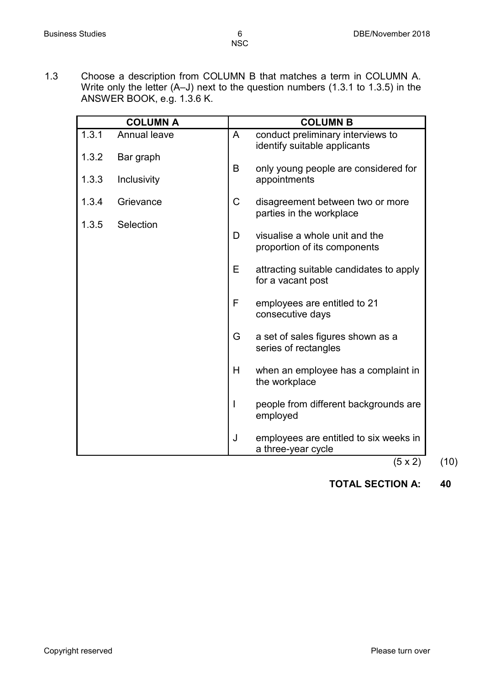1.3 Choose a description from COLUMN B that matches a term in COLUMN A. Write only the letter (A–J) next to the question numbers (1.3.1 to 1.3.5) in the ANSWER BOOK, e.g. 1.3.6 K.

|       | <b>COLUMN A</b>     |   | <b>COLUMN B</b>                                                   |
|-------|---------------------|---|-------------------------------------------------------------------|
| 1.3.1 | <b>Annual leave</b> | A | conduct preliminary interviews to<br>identify suitable applicants |
| 1.3.2 | Bar graph           | B | only young people are considered for                              |
| 1.3.3 | Inclusivity         |   | appointments                                                      |
| 1.3.4 | Grievance           | C | disagreement between two or more<br>parties in the workplace      |
| 1.3.5 | Selection           |   |                                                                   |
|       |                     | D | visualise a whole unit and the<br>proportion of its components    |
|       |                     | Е | attracting suitable candidates to apply<br>for a vacant post      |
|       |                     | F | employees are entitled to 21<br>consecutive days                  |
|       |                     | G | a set of sales figures shown as a<br>series of rectangles         |
|       |                     | H | when an employee has a complaint in<br>the workplace              |
|       |                     |   | people from different backgrounds are<br>employed                 |
|       |                     | J | employees are entitled to six weeks in<br>a three-year cycle      |

 $(5 \times 2)$   $(10)$ 

**TOTAL SECTION A: 40**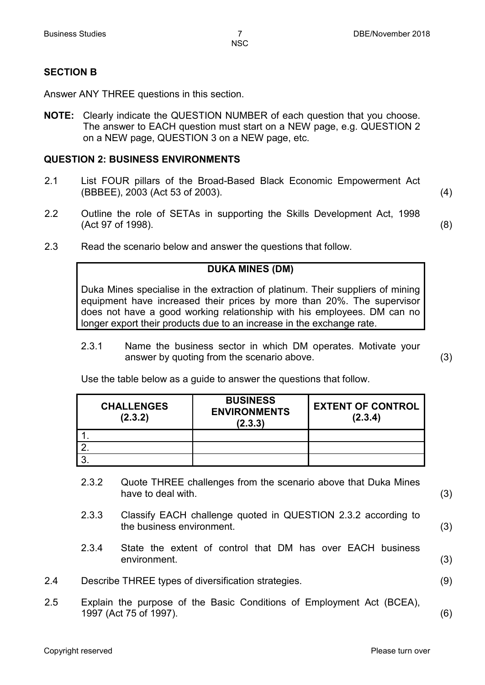# **SECTION B**

Answer ANY THREE questions in this section.

**NOTE:** Clearly indicate the QUESTION NUMBER of each question that you choose. The answer to EACH question must start on a NEW page, e.g. QUESTION 2 on a NEW page, QUESTION 3 on a NEW page, etc.

# **QUESTION 2: BUSINESS ENVIRONMENTS**

- 2.1 List FOUR pillars of the Broad-Based Black Economic Empowerment Act (BBBEE), 2003 (Act 53 of 2003). (4)
- 2.2 Outline the role of SETAs in supporting the Skills Development Act, 1998 (Act 97 of 1998). (8)
- 2.3 Read the scenario below and answer the questions that follow.

# **DUKA MINES (DM)**

Duka Mines specialise in the extraction of platinum. Their suppliers of mining equipment have increased their prices by more than 20%. The supervisor does not have a good working relationship with his employees. DM can no longer export their products due to an increase in the exchange rate.

2.3.1 Name the business sector in which DM operates. Motivate your answer by quoting from the scenario above. (3)

Use the table below as a guide to answer the questions that follow.

| <b>CHALLENGES</b><br>(2.3.2) | <b>BUSINESS</b><br><b>ENVIRONMENTS</b><br>(2.3.3) | <b>EXTENT OF CONTROL</b><br>(2.3.4) |
|------------------------------|---------------------------------------------------|-------------------------------------|
|                              |                                                   |                                     |
|                              |                                                   |                                     |
|                              |                                                   |                                     |

- 2.3.2 Quote THREE challenges from the scenario above that Duka Mines have to deal with. (3)
	-
- 2.3.3 Classify EACH challenge quoted in QUESTION 2.3.2 according to the business environment. (3)
- 2.3.4 State the extent of control that DM has over EACH business environment. (3)
- 2.4 Describe THREE types of diversification strategies. (9)
- 2.5 Explain the purpose of the Basic Conditions of Employment Act (BCEA), 1997 (Act 75 of 1997). (6)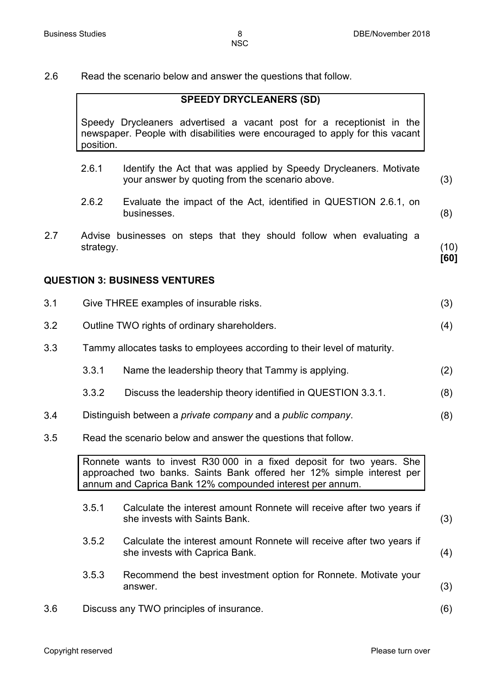**[60]**

2.6 Read the scenario below and answer the questions that follow.

#### **SPEEDY DRYCLEANERS (SD)**

Speedy Drycleaners advertised a vacant post for a receptionist in the newspaper. People with disabilities were encouraged to apply for this vacant position.

- 2.6.1 Identify the Act that was applied by Speedy Drycleaners. Motivate your answer by quoting from the scenario above. (3)
- 2.6.2 Evaluate the impact of the Act, identified in QUESTION 2.6.1, on businesses. (8)
- 2.7 Advise businesses on steps that they should follow when evaluating a strategy. (10)

# **QUESTION 3: BUSINESS VENTURES**

| 3.1 |       | Give THREE examples of insurable risks.                                                                                                                                                                     | (3) |
|-----|-------|-------------------------------------------------------------------------------------------------------------------------------------------------------------------------------------------------------------|-----|
| 3.2 |       | Outline TWO rights of ordinary shareholders.                                                                                                                                                                | (4) |
| 3.3 |       | Tammy allocates tasks to employees according to their level of maturity.                                                                                                                                    |     |
|     | 3.3.1 | Name the leadership theory that Tammy is applying.                                                                                                                                                          | (2) |
|     | 3.3.2 | Discuss the leadership theory identified in QUESTION 3.3.1.                                                                                                                                                 | (8) |
| 3.4 |       | Distinguish between a private company and a public company.                                                                                                                                                 | (8) |
| 3.5 |       | Read the scenario below and answer the questions that follow.                                                                                                                                               |     |
|     |       | Ronnete wants to invest R30 000 in a fixed deposit for two years. She<br>approached two banks. Saints Bank offered her 12% simple interest per<br>annum and Caprica Bank 12% compounded interest per annum. |     |
|     | 3.5.1 | Calculate the interest amount Ronnete will receive after two years if<br>she invests with Saints Bank.                                                                                                      | (3) |
|     | 3.5.2 | Calculate the interest amount Ronnete will receive after two years if<br>she invests with Caprica Bank.                                                                                                     | (4) |
|     | 3.5.3 | Recommend the best investment option for Ronnete. Motivate your<br>answer.                                                                                                                                  | (3) |
| 3.6 |       | Discuss any TWO principles of insurance.                                                                                                                                                                    | (6) |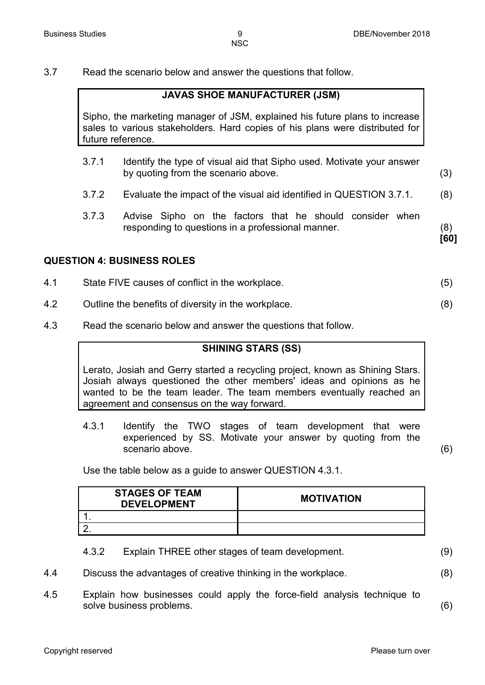**[60]**

3.7 Read the scenario below and answer the questions that follow.

# **JAVAS SHOE MANUFACTURER (JSM)**

Sipho, the marketing manager of JSM, explained his future plans to increase sales to various stakeholders. Hard copies of his plans were distributed for future reference.

- 3.7.1 Identify the type of visual aid that Sipho used. Motivate your answer by quoting from the scenario above. (3)
- 3.7.2 Evaluate the impact of the visual aid identified in QUESTION 3.7.1. (8)
- 3.7.3 Advise Sipho on the factors that he should consider when responding to questions in a professional manner. (8)

**QUESTION 4: BUSINESS ROLES**

- 4.1 State FIVE causes of conflict in the workplace. (5)
- 4.2 Outline the benefits of diversity in the workplace. (8)
- 4.3 Read the scenario below and answer the questions that follow.

# **SHINING STARS (SS)**

Lerato, Josiah and Gerry started a recycling project, known as Shining Stars. Josiah always questioned the other members' ideas and opinions as he wanted to be the team leader. The team members eventually reached an agreement and consensus on the way forward.

4.3.1 Identify the TWO stages of team development that were experienced by SS. Motivate your answer by quoting from the scenario above. (6)

Use the table below as a guide to answer QUESTION 4.3.1.

| <b>STAGES OF TEAM</b><br><b>DEVELOPMENT</b> | <b>MOTIVATION</b> |
|---------------------------------------------|-------------------|
|                                             |                   |
|                                             |                   |

| 4.3.2 | Explain THREE other stages of team development. | (9) |
|-------|-------------------------------------------------|-----|
|-------|-------------------------------------------------|-----|

- 4.4 Discuss the advantages of creative thinking in the workplace. (8)
- 4.5 Explain how businesses could apply the force-field analysis technique to solve business problems. (6)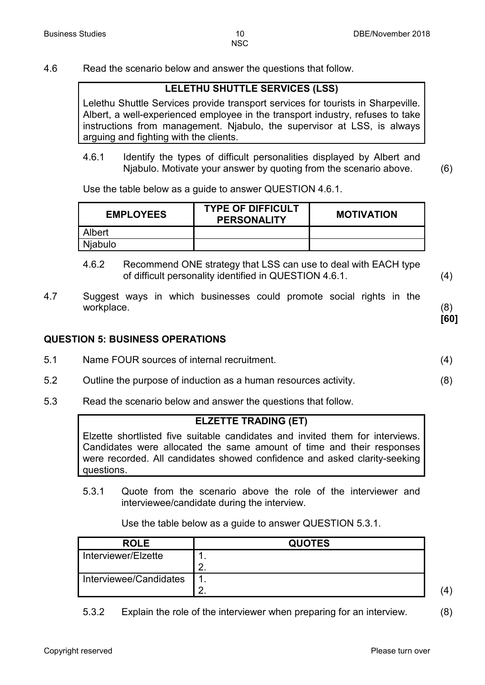4.6 Read the scenario below and answer the questions that follow.

# **LELETHU SHUTTLE SERVICES (LSS)**

Lelethu Shuttle Services provide transport services for tourists in Sharpeville. Albert, a well-experienced employee in the transport industry, refuses to take instructions from management. Njabulo, the supervisor at LSS, is always arguing and fighting with the clients.

4.6.1 Identify the types of difficult personalities displayed by Albert and Njabulo. Motivate your answer by quoting from the scenario above. (6)

Use the table below as a guide to answer QUESTION 4.6.1.

| <b>EMPLOYEES</b> | <b>TYPE OF DIFFICULT</b><br><b>PERSONALITY</b> | <b>MOTIVATION</b> |
|------------------|------------------------------------------------|-------------------|
| Albert           |                                                |                   |
| <b>Niabulo</b>   |                                                |                   |

- 4.6.2 Recommend ONE strategy that LSS can use to deal with EACH type of difficult personality identified in QUESTION 4.6.1. (4)
- 4.7 Suggest ways in which businesses could promote social rights in the workplace. (8)

# **QUESTION 5: BUSINESS OPERATIONS**

- 5.1 Name FOUR sources of internal recruitment. (4)
- 5.2 Outline the purpose of induction as a human resources activity. (8)
- 5.3 Read the scenario below and answer the questions that follow.

# **ELZETTE TRADING (ET)**

Elzette shortlisted five suitable candidates and invited them for interviews. Candidates were allocated the same amount of time and their responses were recorded. All candidates showed confidence and asked clarity-seeking questions.

5.3.1 Quote from the scenario above the role of the interviewer and interviewee/candidate during the interview.

Use the table below as a guide to answer QUESTION 5.3.1.

| <b>ROLE</b>            | <b>QUOTES</b> |   |
|------------------------|---------------|---|
| Interviewer/Elzette    | . .           |   |
|                        | <u>.</u>      |   |
| Interviewee/Candidates |               |   |
|                        |               | 4 |

5.3.2 Explain the role of the interviewer when preparing for an interview. (8)

**[60]**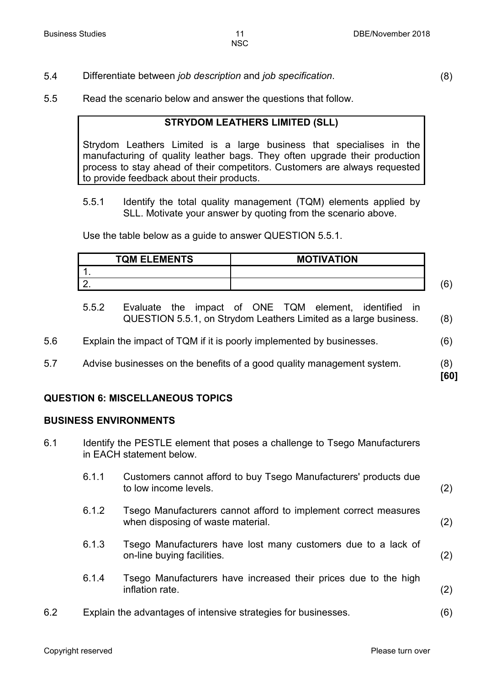5.4 Differentiate between *job description* and *job specification*. (8)

**[60]**

5.5 Read the scenario below and answer the questions that follow.

# **STRYDOM LEATHERS LIMITED (SLL)**

Strydom Leathers Limited is a large business that specialises in the manufacturing of quality leather bags. They often upgrade their production process to stay ahead of their competitors. Customers are always requested to provide feedback about their products.

5.5.1 Identify the total quality management (TQM) elements applied by SLL. Motivate your answer by quoting from the scenario above.

Use the table below as a guide to answer QUESTION 5.5.1.

| <b>TQM ELEMENTS</b> | <b>MOTIVATION</b> |  |
|---------------------|-------------------|--|
|                     |                   |  |
|                     |                   |  |

- 5.5.2 Evaluate the impact of ONE TQM element, identified in QUESTION 5.5.1, on Strydom Leathers Limited as a large business. (8)
- 5.6 Explain the impact of TQM if it is poorly implemented by businesses. (6)
- 5.7 Advise businesses on the benefits of a good quality management system. (8)

**QUESTION 6: MISCELLANEOUS TOPICS**

#### **BUSINESS ENVIRONMENTS**

- 6.1 Identify the PESTLE element that poses a challenge to Tsego Manufacturers in EACH statement below.
	- 6.1.1 Customers cannot afford to buy Tsego Manufacturers' products due to low income levels. (2)
	- 6.1.2 Tsego Manufacturers cannot afford to implement correct measures when disposing of waste material. (2)
	- 6.1.3 Tsego Manufacturers have lost many customers due to a lack of on-line buying facilities. (2)
	- 6.1.4 Tsego Manufacturers have increased their prices due to the high inflation rate. (2)
- 6.2 Explain the advantages of intensive strategies for businesses. (6)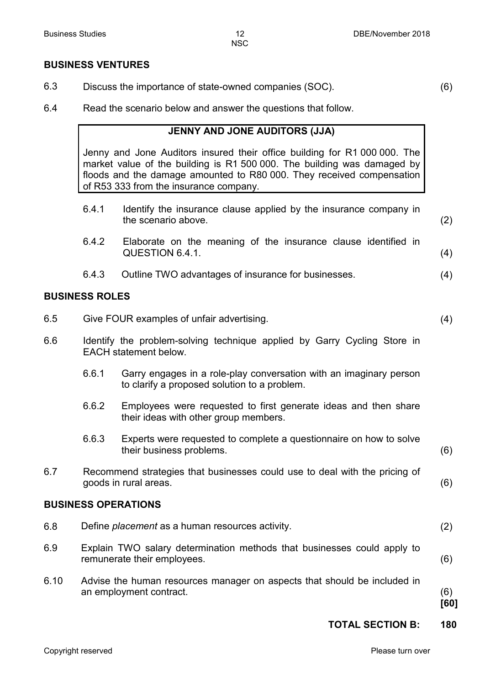#### **BUSINESS VENTURES**

- 6.3 Discuss the importance of state-owned companies (SOC). (6)
	-

6.4 Read the scenario below and answer the questions that follow.

# **JENNY AND JONE AUDITORS (JJA)**

Jenny and Jone Auditors insured their office building for R1 000 000. The market value of the building is R1 500 000. The building was damaged by floods and the damage amounted to R80 000. They received compensation of R53 333 from the insurance company.

- 6.4.1 Identify the insurance clause applied by the insurance company in the scenario above. (2) 6.4.2 Elaborate on the meaning of the insurance clause identified in QUESTION 6.4.1. (4) 6.4.3 Outline TWO advantages of insurance for businesses. (4) **BUSINESS ROLES** 6.5 Give FOUR examples of unfair advertising. (4) 6.6 Identify the problem-solving technique applied by Garry Cycling Store in EACH statement below. 6.6.1 Garry engages in a role-play conversation with an imaginary person to clarify a proposed solution to a problem. 6.6.2 Employees were requested to first generate ideas and then share their ideas with other group members. 6.6.3 Experts were requested to complete a questionnaire on how to solve their business problems. (6) 6.7 Recommend strategies that businesses could use to deal with the pricing of goods in rural areas. (6) **BUSINESS OPERATIONS** 6.8 Define *placement* as a human resources activity. (2) 6.9 Explain TWO salary determination methods that businesses could apply to remunerate their employees. (6) 6.10 Advise the human resources manager on aspects that should be included in an employment contract. (6) **[60]**
	- **TOTAL SECTION B: 180**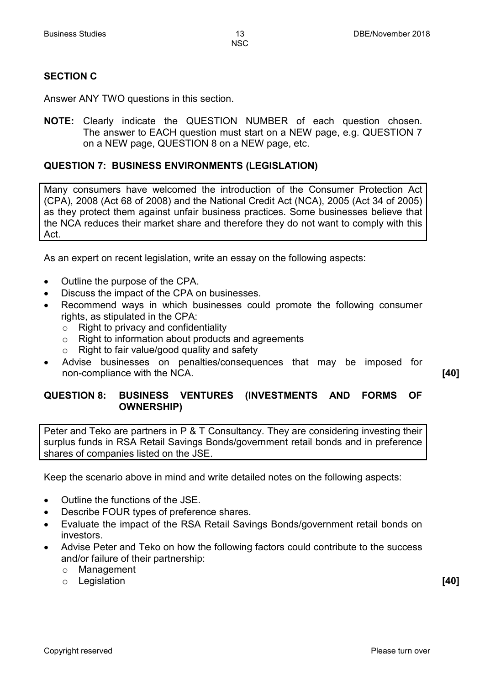# **SECTION C**

Answer ANY TWO questions in this section.

**NOTE:** Clearly indicate the QUESTION NUMBER of each question chosen. The answer to EACH question must start on a NEW page, e.g. QUESTION 7 on a NEW page, QUESTION 8 on a NEW page, etc.

# **QUESTION 7: BUSINESS ENVIRONMENTS (LEGISLATION)**

Many consumers have welcomed the introduction of the Consumer Protection Act (CPA), 2008 (Act 68 of 2008) and the National Credit Act (NCA), 2005 (Act 34 of 2005) as they protect them against unfair business practices. Some businesses believe that the NCA reduces their market share and therefore they do not want to comply with this Act.

As an expert on recent legislation, write an essay on the following aspects:

- Outline the purpose of the CPA.
- Discuss the impact of the CPA on businesses.
- Recommend ways in which businesses could promote the following consumer rights, as stipulated in the CPA:
	- $\circ$  Right to privacy and confidentiality
	- $\circ$  Right to information about products and agreements  $\circ$  Right to fair value/good quality and safety
	- Right to fair value/good quality and safety
- Advise businesses on penalties/consequences that may be imposed for non-compliance with the NCA. **[40]**

**QUESTION 8: BUSINESS VENTURES (INVESTMENTS AND FORMS OF OWNERSHIP)**

Peter and Teko are partners in P & T Consultancy. They are considering investing their surplus funds in RSA Retail Savings Bonds/government retail bonds and in preference shares of companies listed on the JSE.

Keep the scenario above in mind and write detailed notes on the following aspects:

- Outline the functions of the JSE.
- Describe FOUR types of preference shares.
- Evaluate the impact of the RSA Retail Savings Bonds/government retail bonds on investors.
- Advise Peter and Teko on how the following factors could contribute to the success and/or failure of their partnership:
	- o Management
	- o Legislation **[40]**